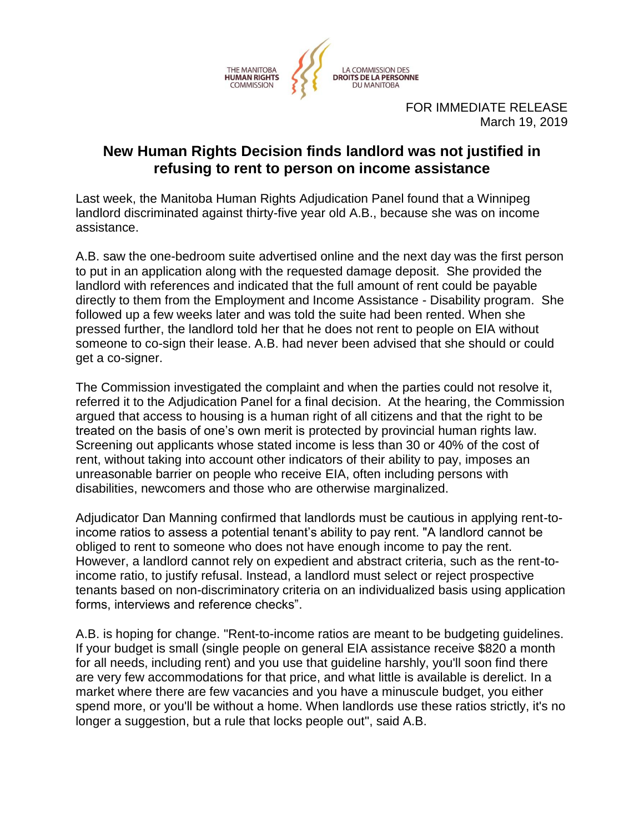

FOR IMMEDIATE RELEASE March 19, 2019

## **New Human Rights Decision finds landlord was not justified in refusing to rent to person on income assistance**

Last week, the Manitoba Human Rights Adjudication Panel found that a Winnipeg landlord discriminated against thirty-five year old A.B., because she was on income assistance.

A.B. saw the one-bedroom suite advertised online and the next day was the first person to put in an application along with the requested damage deposit. She provided the landlord with references and indicated that the full amount of rent could be payable directly to them from the Employment and Income Assistance - Disability program. She followed up a few weeks later and was told the suite had been rented. When she pressed further, the landlord told her that he does not rent to people on EIA without someone to co-sign their lease. A.B. had never been advised that she should or could get a co-signer.

The Commission investigated the complaint and when the parties could not resolve it, referred it to the Adjudication Panel for a final decision. At the hearing, the Commission argued that access to housing is a human right of all citizens and that the right to be treated on the basis of one's own merit is protected by provincial human rights law. Screening out applicants whose stated income is less than 30 or 40% of the cost of rent, without taking into account other indicators of their ability to pay, imposes an unreasonable barrier on people who receive EIA, often including persons with disabilities, newcomers and those who are otherwise marginalized.

Adjudicator Dan Manning confirmed that landlords must be cautious in applying rent-toincome ratios to assess a potential tenant's ability to pay rent. "A landlord cannot be obliged to rent to someone who does not have enough income to pay the rent. However, a landlord cannot rely on expedient and abstract criteria, such as the rent-toincome ratio, to justify refusal. Instead, a landlord must select or reject prospective tenants based on non-discriminatory criteria on an individualized basis using application forms, interviews and reference checks".

A.B. is hoping for change. "Rent-to-income ratios are meant to be budgeting guidelines. If your budget is small (single people on general EIA assistance receive \$820 a month for all needs, including rent) and you use that guideline harshly, you'll soon find there are very few accommodations for that price, and what little is available is derelict. In a market where there are few vacancies and you have a minuscule budget, you either spend more, or you'll be without a home. When landlords use these ratios strictly, it's no longer a suggestion, but a rule that locks people out", said A.B.